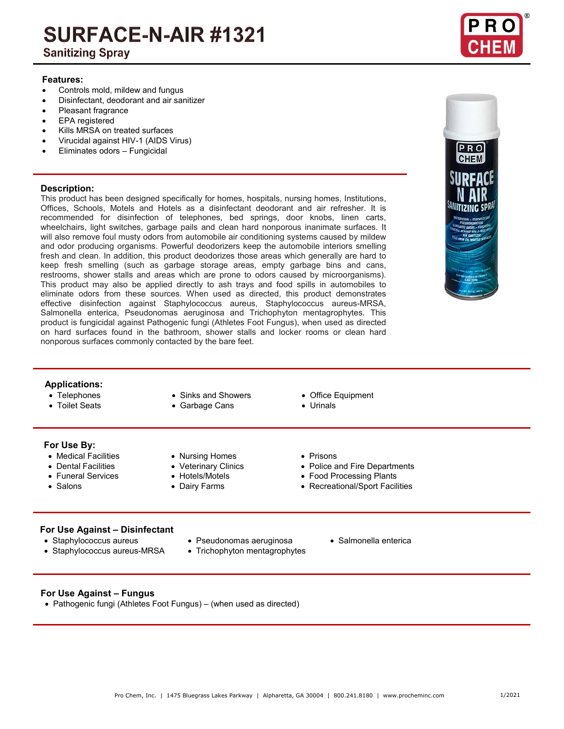# SURFACE-N-AIR #1321

### **Sanitizing Spray**

### **Features:**

- Controls mold, mildew and fungus
- Disinfectant, deodorant and air sanitizer
- Pleasant fragrance
- EPA registered
- Kills MRSA on treated surfaces
- Virucidal against HIV-1 (AIDS Virus)
- Eliminates odors Fungicidal

### **Description:**

This product has been designed specifically for homes, hospitals, nursing homes, Institutions, Offices, Schools, Motels and Hotels as a disinfectant deodorant and air refresher. It is recommended for disinfection of telephones, bed springs, door knobs, linen carts, wheelchairs, light switches, garbage pails and clean hard nonporous inanimate surfaces. It will also remove foul musty odors from automobile air conditioning systems caused by mildew and odor producing organisms. Powerful deodorizers keep the automobile interiors smelling fresh and clean. In addition, this product deodorizes those areas which generally are hard to keep fresh smelling (such as garbage storage areas, empty garbage bins and cans, restrooms, shower stalls and areas which are prone to odors caused by microorganisms). This product may also be applied directly to ash trays and food spills in automobiles to eliminate odors from these sources. When used as directed, this product demonstrates effective disinfection against Staphylococcus aureus, Staphylococcus aureus-MRSA, Salmonella enterica, Pseudonomas aeruginosa and Trichophyton mentagrophytes. This product is fungicidal against Pathogenic fungi (Athletes Foot Fungus), when used as directed on hard surfaces found in the bathroom, shower stalls and locker rooms or clean hard nonporous surfaces commonly contacted by the bare feet.



### **Applications:**

- 
- 
- Telephones Sinks and Showers Office Equipment
- Toilet Seats Garbage Cans Urinals
- -

### **For Use By:**

- Medical Facilities Nursing Homes Prisons
- 
- 
- 
- 
- 
- 
- 
- 
- Dental Facilities Veterinary Clinics Police and Fire Departments
- Funeral Services Hotels/Motels Food Processing Plants
- Salons Dairy Farms • Pecreational/Sport Facilities

## **For Use Against – Disinfectant**

- 
- Staphylococcus aureus-MRSA Trichophyton mentagrophytes
- Pseudonomas aeruginosa Salmonella enterica
- 
- 

### **For Use Against – Fungus**

• Pathogenic fungi (Athletes Foot Fungus) – (when used as directed)